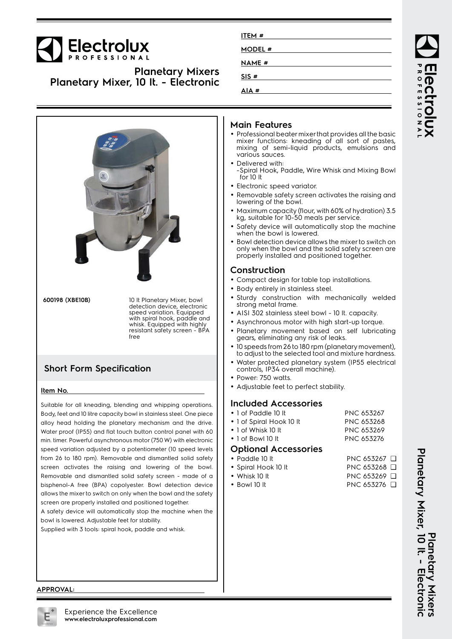

**Planetary Mixers Planetary Mixer, 10 lt. - Electronic**



alloy head holding the planetary mechanism and the drive. Water proof (IP55) and flat touch button control panel with 60 min. timer. Powerful asynchronous motor (750 W) with electronic speed variation adjusted by a potentiometer (10 speed levels from 26 to 180 rpm). Removable and dismantled solid safety screen activates the raising and lowering of the bowl. Removable and dismantled solid safety screen - made of a bisphenol-A free (BPA) copolyester. Bowl detection device allows the mixer to switch on only when the bowl and the safety screen are properly installed and positioned together.

A safety device will automatically stop the machine when the bowl is lowered. Adjustable feet for stability.

Supplied with 3 tools: spiral hook, paddle and whisk.

| ITEM#        |  |
|--------------|--|
| MODEL #      |  |
| <b>NAME#</b> |  |
| SIS#         |  |
| AIA#         |  |

#### **Main Features**

- Professional beater mixer that provides all the basic mixer functions: kneading of all sort of pastes, mixing of semi-liquid products, emulsions and various sauces.
- •Delivered with:
- -Spiral Hook, Paddle, Wire Whisk and Mixing Bowl for 10 lt
- Electronic speed variator.
- Removable safety screen activates the raising and lowering of the bowl.
- Maximum capacity (flour, with 60% of hydration) 3.5 kg, suitable for 10-50 meals per service.
- Safety device will automatically stop the machine when the bowl is lowered.
- • Bowl detection device allows the mixer to switch on only when the bowl and the solid safety screen are properly installed and positioned together.

#### **Construction**

- Compact design for table top installations.
- Body entirely in stainless steel.
- • Sturdy construction with mechanically welded strong metal frame.
- AISI 302 stainless steel bowl 10 lt. capacity.
- Asynchronous motor with high start-up torque.
- Planetary movement based on self lubricating gears, eliminating any risk of leaks.
- • 10 speeds from 26 to 180 rpm (planetary movement), to adjust to the selected tool and mixture hardness.
- • Water protected planetary system (IP55 electrical controls, IP34 overall machine).
- Power: 750 watts.
- Adjustable feet to perfect stability.

### **Included Accessories**

 $\bullet$  1 of Paddle 10 lt PNC 653267 • 1 of Spiral Hook 10 lt PNC 653268 • 1 of Whisk 10 It PNC 653269 • 1 of Bowl 10 lt PNC 653276

#### **Optional Accessories**

- Paddle 10 It
- •Spiral Hook 10 lt PNC 653268 □
- Whisk 10 It
- PNC 653269 <del>□</del> • Bowl 10 It PNC 653276 <del>□</del>

PNC 653267 □

Planetary Mixer, 10 It. - Electronic **Planetary Mixer, 10 lt. - Electronic** Planetary Mixers **Planetary Mixers**

ROFESSIONA

#### **APPROVAL:**